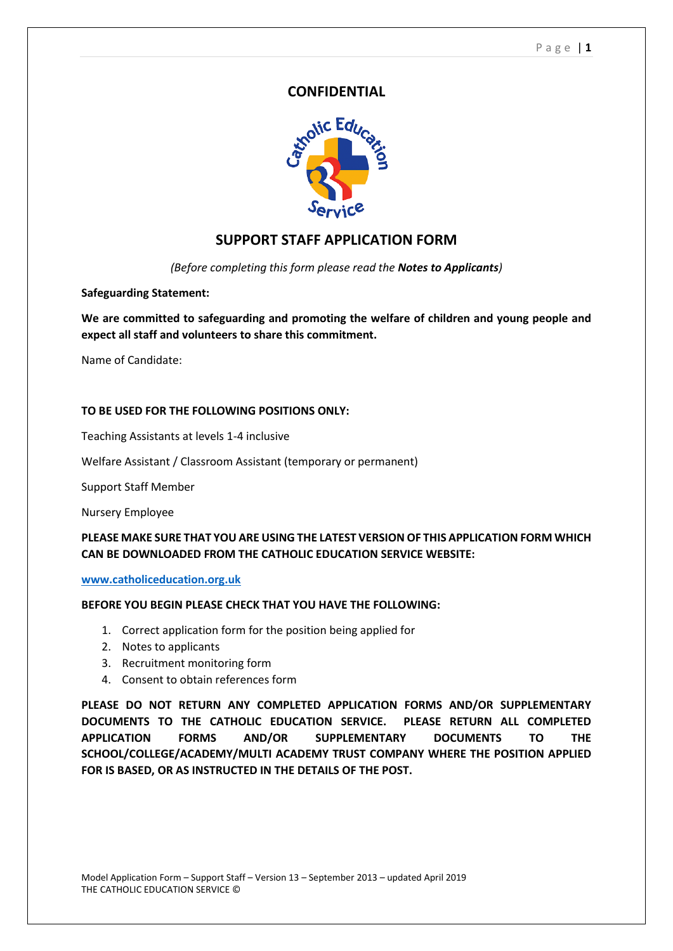### **CONFIDENTIAL**



# **SUPPORT STAFF APPLICATION FORM**

*(Before completing this form please read the Notes to Applicants)*

#### **Safeguarding Statement:**

**We are committed to safeguarding and promoting the welfare of children and young people and expect all staff and volunteers to share this commitment.**

Name of Candidate:

#### **TO BE USED FOR THE FOLLOWING POSITIONS ONLY:**

Teaching Assistants at levels 1-4 inclusive

Welfare Assistant / Classroom Assistant (temporary or permanent)

Support Staff Member

Nursery Employee

#### **PLEASE MAKE SURE THAT YOU ARE USING THE LATEST VERSION OF THIS APPLICATION FORM WHICH CAN BE DOWNLOADED FROM THE CATHOLIC EDUCATION SERVICE WEBSITE:**

**[www.catholiceducation.org.uk](http://www.catholiceducation.org.uk/)**

#### **BEFORE YOU BEGIN PLEASE CHECK THAT YOU HAVE THE FOLLOWING:**

- 1. Correct application form for the position being applied for
- 2. Notes to applicants
- 3. Recruitment monitoring form
- 4. Consent to obtain references form

**PLEASE DO NOT RETURN ANY COMPLETED APPLICATION FORMS AND/OR SUPPLEMENTARY DOCUMENTS TO THE CATHOLIC EDUCATION SERVICE. PLEASE RETURN ALL COMPLETED APPLICATION FORMS AND/OR SUPPLEMENTARY DOCUMENTS TO THE SCHOOL/COLLEGE/ACADEMY/MULTI ACADEMY TRUST COMPANY WHERE THE POSITION APPLIED FOR IS BASED, OR AS INSTRUCTED IN THE DETAILS OF THE POST.**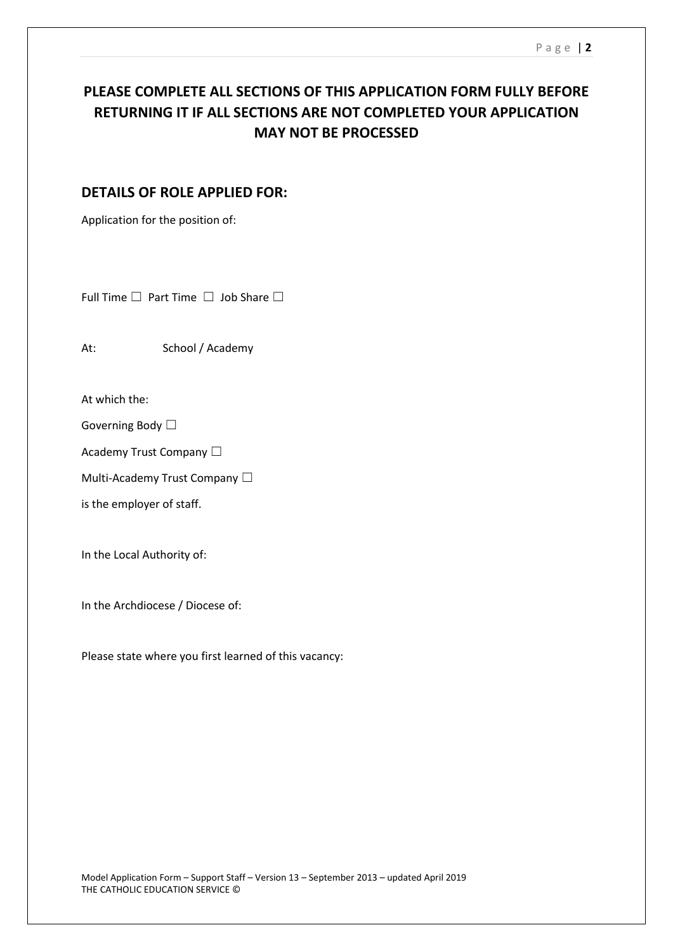# **PLEASE COMPLETE ALL SECTIONS OF THIS APPLICATION FORM FULLY BEFORE RETURNING IT IF ALL SECTIONS ARE NOT COMPLETED YOUR APPLICATION MAY NOT BE PROCESSED**

# **DETAILS OF ROLE APPLIED FOR:**

Application for the position of:

Full Time □ Part Time □ Job Share □

At: School / Academy

At which the:

Governing Body □

Academy Trust Company □

Multi-Academy Trust Company □

is the employer of staff.

In the Local Authority of:

In the Archdiocese / Diocese of:

Please state where you first learned of this vacancy: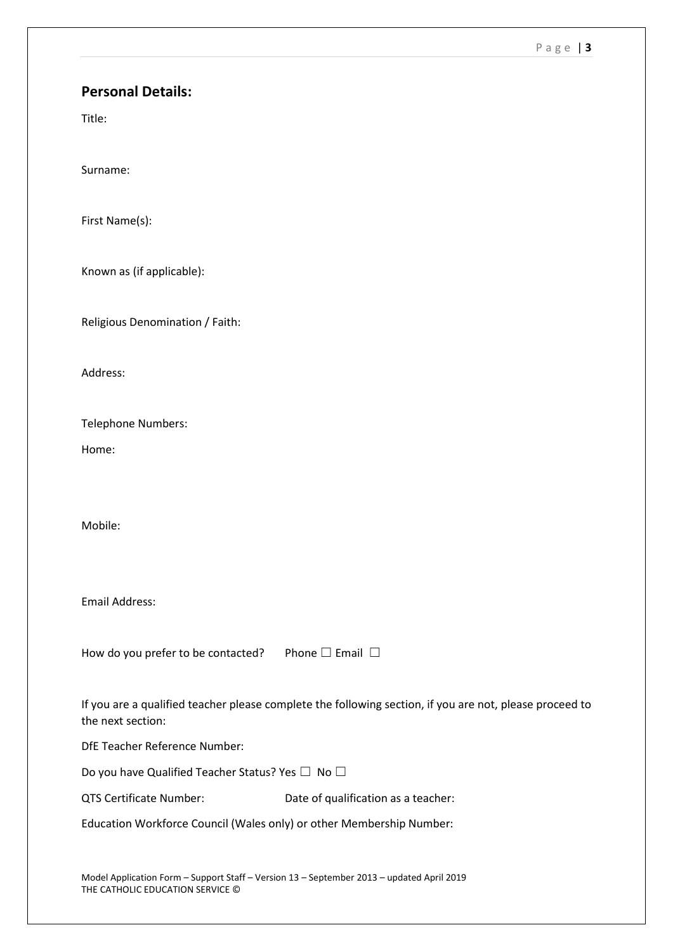#### P a g e | **3**

### **Personal Details:**

Title:

Surname:

First Name(s):

Known as (if applicable):

Religious Denomination / Faith:

Address:

Telephone Numbers:

Home:

Mobile:

Email Address:

How do you prefer to be contacted? Phone  $\Box$  Email  $\Box$ 

If you are a qualified teacher please complete the following section, if you are not, please proceed to the next section:

DfE Teacher Reference Number:

Do you have Qualified Teacher Status? Yes □ No □

QTS Certificate Number: Date of qualification as a teacher:

Education Workforce Council (Wales only) or other Membership Number:

Model Application Form – Support Staff – Version 13 – September 2013 – updated April 2019 THE CATHOLIC EDUCATION SERVICE ©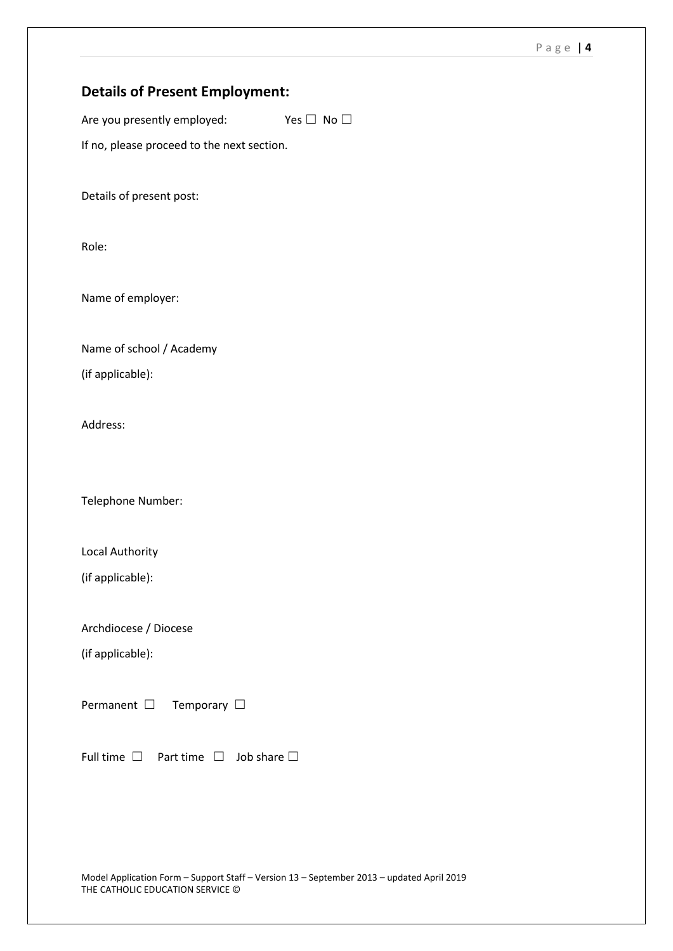# **Details of Present Employment:**

Are you presently employed: Yes  $\Box$  No  $\Box$ 

If no, please proceed to the next section.

Details of present post:

Role:

Name of employer:

Name of school / Academy (if applicable):

Address:

Telephone Number:

Local Authority

(if applicable):

Archdiocese / Diocese

(if applicable):

Permanent □ Temporary □

Full time  $\Box$  Part time  $\Box$  Job share  $\Box$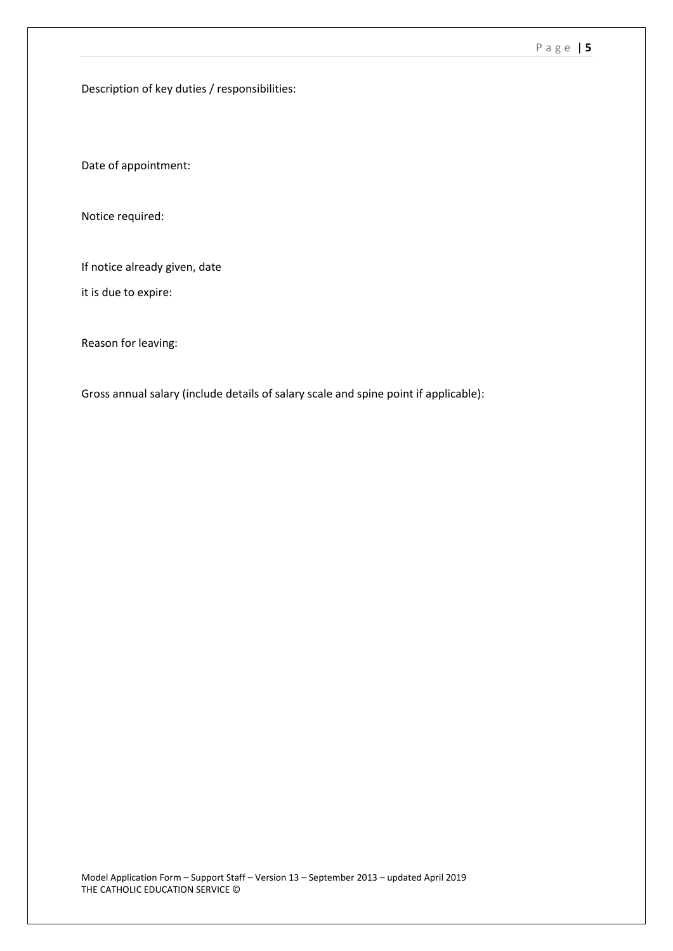Description of key duties / responsibilities:

Date of appointment:

Notice required:

If notice already given, date

it is due to expire:

Reason for leaving:

Gross annual salary (include details of salary scale and spine point if applicable):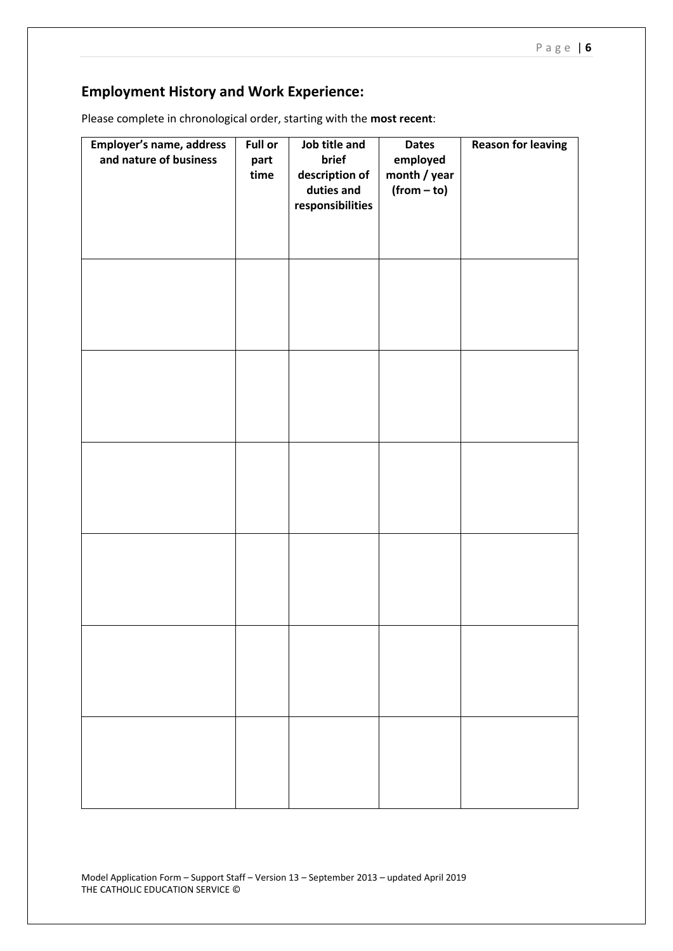# **Employment History and Work Experience:**

| Employer's name, address<br>and nature of business | <b>Full or</b><br>part<br>time | Job title and<br>brief<br>description of<br>duties and<br>responsibilities | <b>Dates</b><br>employed<br>month / year<br>$(from - to)$ | <b>Reason for leaving</b> |
|----------------------------------------------------|--------------------------------|----------------------------------------------------------------------------|-----------------------------------------------------------|---------------------------|
|                                                    |                                |                                                                            |                                                           |                           |
|                                                    |                                |                                                                            |                                                           |                           |
|                                                    |                                |                                                                            |                                                           |                           |
|                                                    |                                |                                                                            |                                                           |                           |
|                                                    |                                |                                                                            |                                                           |                           |
|                                                    |                                |                                                                            |                                                           |                           |

Please complete in chronological order, starting with the **most recent**: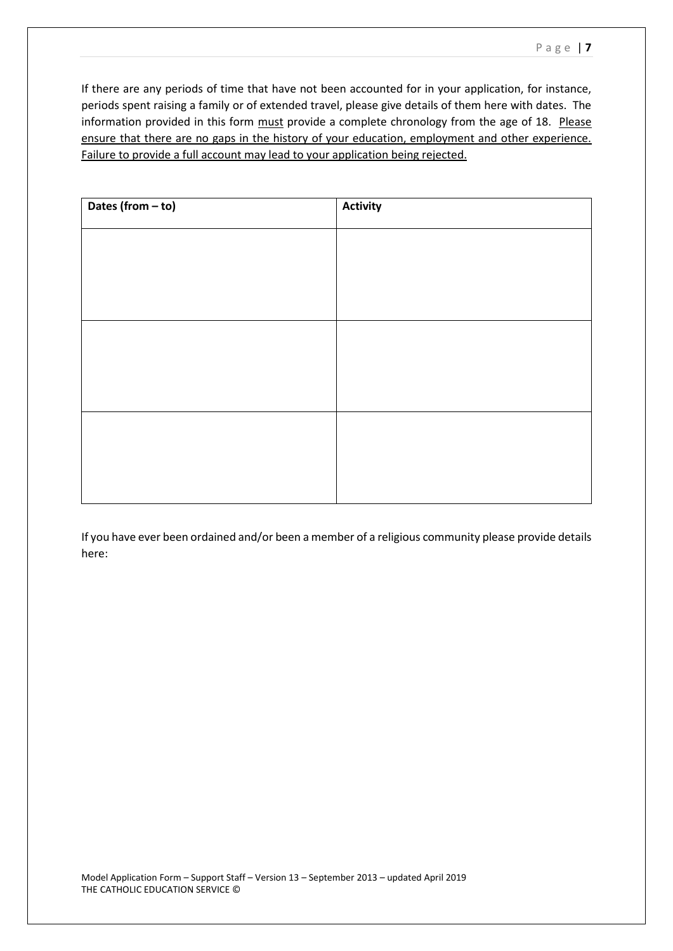If there are any periods of time that have not been accounted for in your application, for instance, periods spent raising a family or of extended travel, please give details of them here with dates. The information provided in this form must provide a complete chronology from the age of 18. Please ensure that there are no gaps in the history of your education, employment and other experience. Failure to provide a full account may lead to your application being rejected.

| Dates (from - to) | <b>Activity</b> |
|-------------------|-----------------|
|                   |                 |
|                   |                 |
|                   |                 |
|                   |                 |
|                   |                 |
|                   |                 |
|                   |                 |
|                   |                 |
|                   |                 |

If you have ever been ordained and/or been a member of a religious community please provide details here: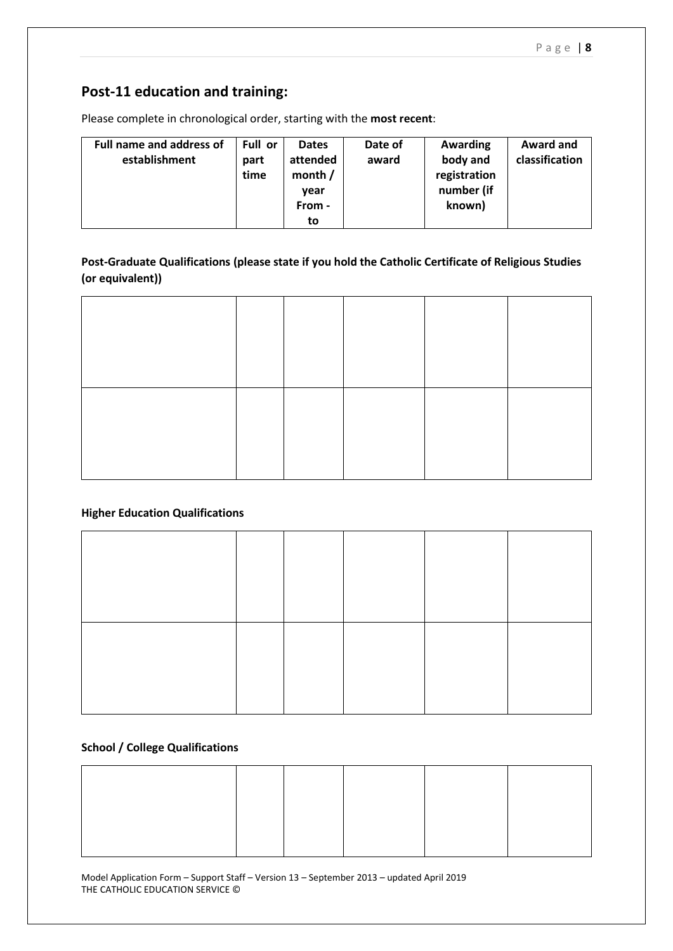# **Post-11 education and training:**

Please complete in chronological order, starting with the **most recent**:

| <b>Full name and address of</b> | Full or | <b>Dates</b> | Date of | Awarding     | Award and      |
|---------------------------------|---------|--------------|---------|--------------|----------------|
| establishment                   | part    | attended     | award   | body and     | classification |
|                                 | time    | month $/$    |         | registration |                |
|                                 |         | year         |         | number (if   |                |
|                                 |         | From -       |         | known)       |                |
|                                 |         | to           |         |              |                |

**Post-Graduate Qualifications (please state if you hold the Catholic Certificate of Religious Studies (or equivalent))**

### **Higher Education Qualifications**

#### **School / College Qualifications**

Model Application Form – Support Staff – Version 13 – September 2013 – updated April 2019 THE CATHOLIC EDUCATION SERVICE ©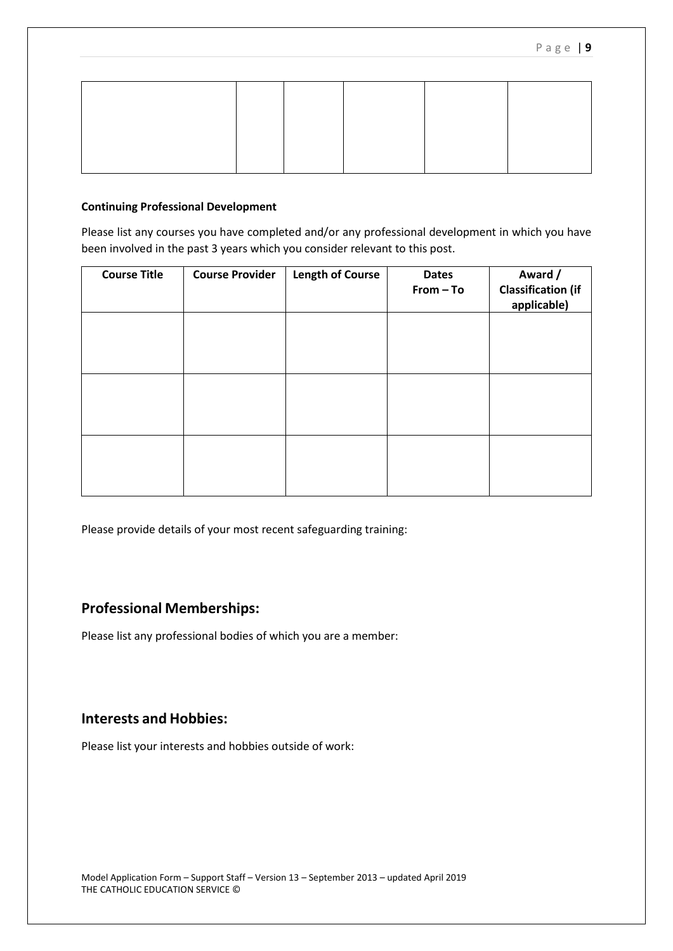#### **Continuing Professional Development**

Please list any courses you have completed and/or any professional development in which you have been involved in the past 3 years which you consider relevant to this post.

| <b>Course Title</b> | <b>Course Provider</b> | <b>Length of Course</b> | <b>Dates</b><br>From - To | Award /<br><b>Classification (if</b><br>applicable) |
|---------------------|------------------------|-------------------------|---------------------------|-----------------------------------------------------|
|                     |                        |                         |                           |                                                     |
|                     |                        |                         |                           |                                                     |
|                     |                        |                         |                           |                                                     |
|                     |                        |                         |                           |                                                     |

Please provide details of your most recent safeguarding training:

# **Professional Memberships:**

Please list any professional bodies of which you are a member:

# **Interests and Hobbies:**

Please list your interests and hobbies outside of work: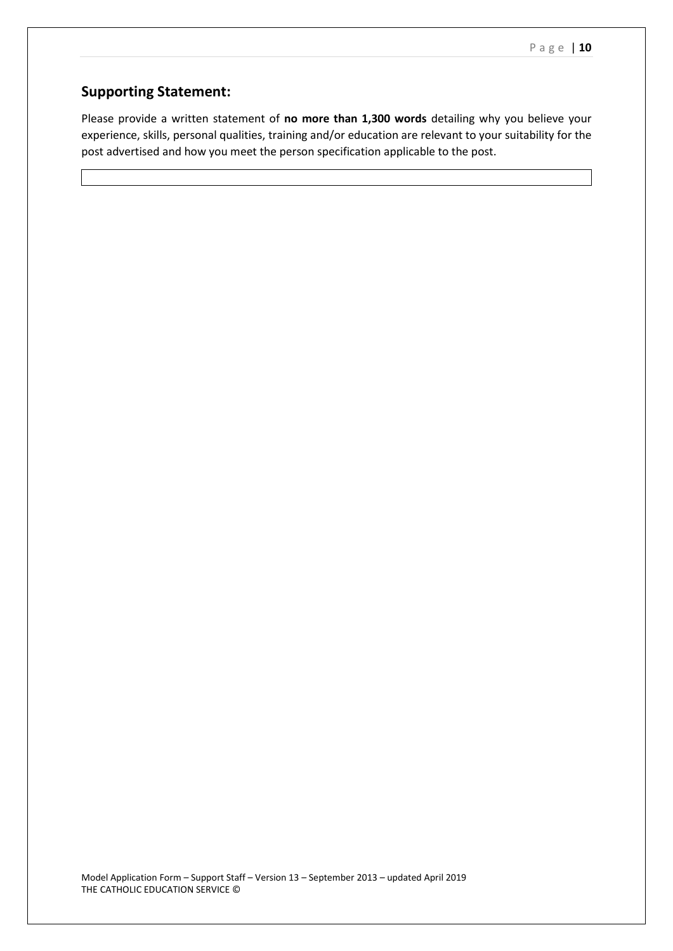# **Supporting Statement:**

Please provide a written statement of **no more than 1,300 words** detailing why you believe your experience, skills, personal qualities, training and/or education are relevant to your suitability for the post advertised and how you meet the person specification applicable to the post.

Model Application Form – Support Staff – Version 13 – September 2013 – updated April 2019 THE CATHOLIC EDUCATION SERVICE ©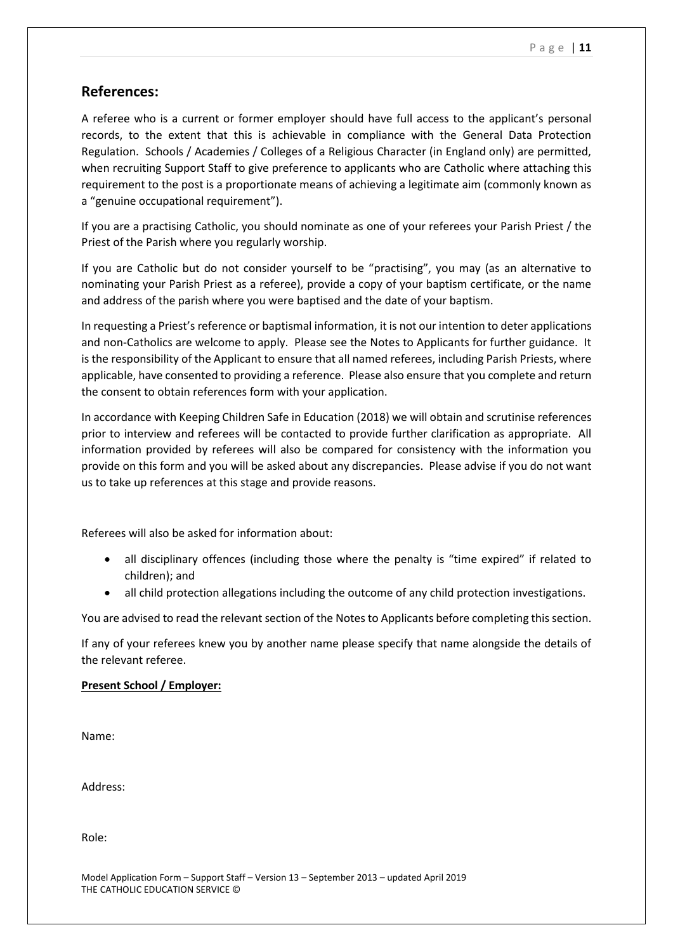### **References:**

A referee who is a current or former employer should have full access to the applicant's personal records, to the extent that this is achievable in compliance with the General Data Protection Regulation. Schools / Academies / Colleges of a Religious Character (in England only) are permitted, when recruiting Support Staff to give preference to applicants who are Catholic where attaching this requirement to the post is a proportionate means of achieving a legitimate aim (commonly known as a "genuine occupational requirement").

If you are a practising Catholic, you should nominate as one of your referees your Parish Priest / the Priest of the Parish where you regularly worship.

If you are Catholic but do not consider yourself to be "practising", you may (as an alternative to nominating your Parish Priest as a referee), provide a copy of your baptism certificate, or the name and address of the parish where you were baptised and the date of your baptism.

In requesting a Priest's reference or baptismal information, it is not our intention to deter applications and non-Catholics are welcome to apply. Please see the Notes to Applicants for further guidance. It is the responsibility of the Applicant to ensure that all named referees, including Parish Priests, where applicable, have consented to providing a reference. Please also ensure that you complete and return the consent to obtain references form with your application.

In accordance with Keeping Children Safe in Education (2018) we will obtain and scrutinise references prior to interview and referees will be contacted to provide further clarification as appropriate. All information provided by referees will also be compared for consistency with the information you provide on this form and you will be asked about any discrepancies. Please advise if you do not want us to take up references at this stage and provide reasons.

Referees will also be asked for information about:

- all disciplinary offences (including those where the penalty is "time expired" if related to children); and
- all child protection allegations including the outcome of any child protection investigations.

You are advised to read the relevant section of the Notes to Applicants before completing this section.

If any of your referees knew you by another name please specify that name alongside the details of the relevant referee.

#### **Present School / Employer:**

Name:

Address:

Role: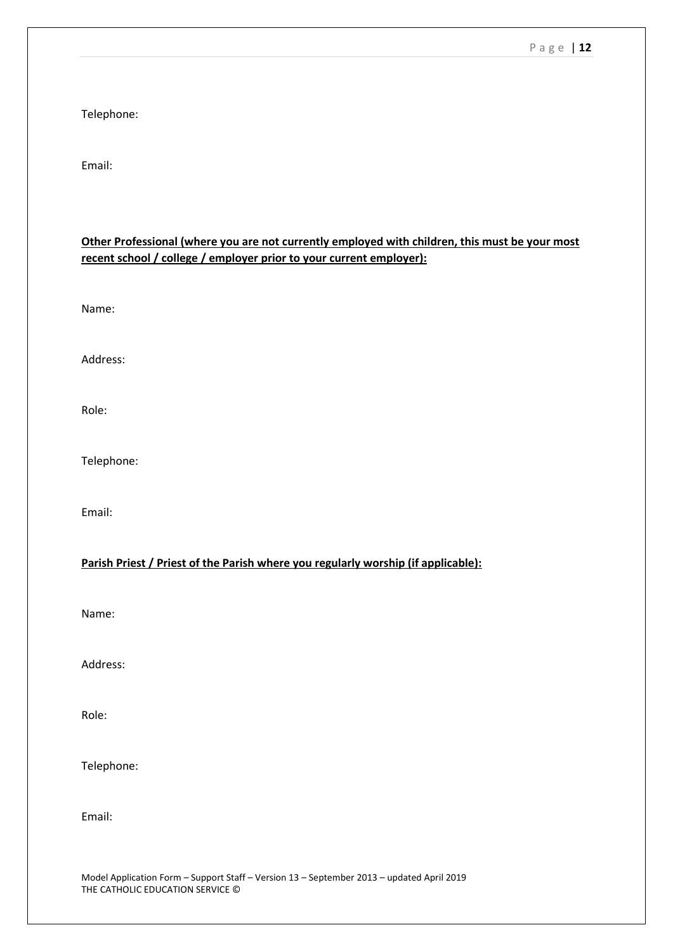Telephone:

Email:

| Other Professional (where you are not currently employed with children, this must be your most |
|------------------------------------------------------------------------------------------------|
| recent school / college / employer prior to your current employer):                            |
|                                                                                                |
|                                                                                                |
| Name:                                                                                          |

Address:

Role:

Telephone:

Email:

### **Parish Priest / Priest of the Parish where you regularly worship (if applicable):**

Name:

Address:

Role:

Telephone:

Email: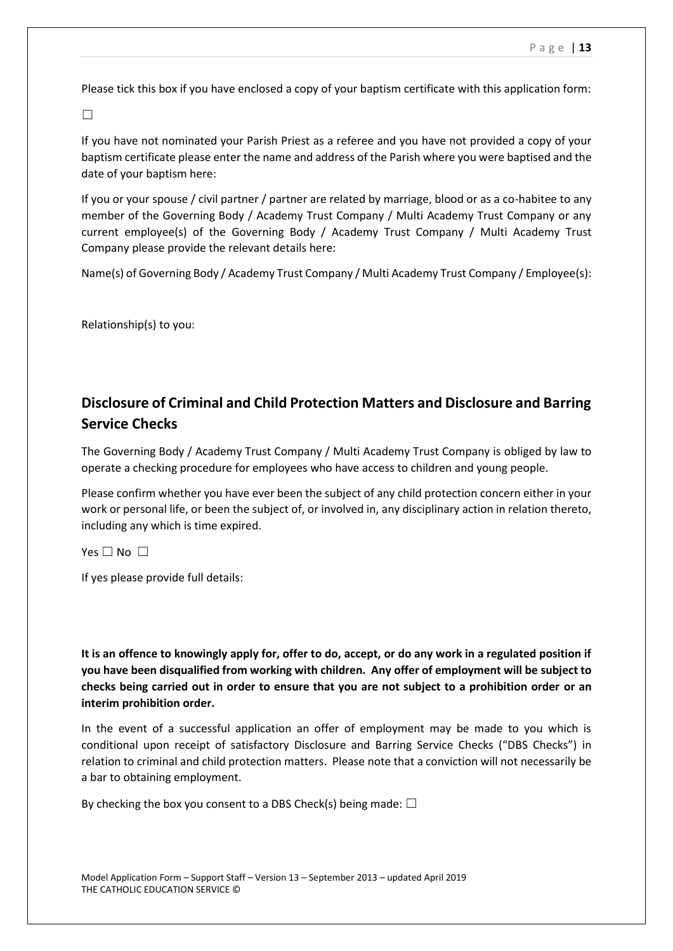Please tick this box if you have enclosed a copy of your baptism certificate with this application form:

☐

If you have not nominated your Parish Priest as a referee and you have not provided a copy of your baptism certificate please enter the name and address of the Parish where you were baptised and the date of your baptism here:

If you or your spouse / civil partner / partner are related by marriage, blood or as a co-habitee to any member of the Governing Body / Academy Trust Company / Multi Academy Trust Company or any current employee(s) of the Governing Body / Academy Trust Company / Multi Academy Trust Company please provide the relevant details here:

Name(s) of Governing Body / Academy Trust Company / Multi Academy Trust Company / Employee(s):

Relationship(s) to you:

# **Disclosure of Criminal and Child Protection Matters and Disclosure and Barring Service Checks**

The Governing Body / Academy Trust Company / Multi Academy Trust Company is obliged by law to operate a checking procedure for employees who have access to children and young people.

Please confirm whether you have ever been the subject of any child protection concern either in your work or personal life, or been the subject of, or involved in, any disciplinary action in relation thereto, including any which is time expired.

Yes  $\Box$  No  $\Box$ 

If yes please provide full details:

**It is an offence to knowingly apply for, offer to do, accept, or do any work in a regulated position if you have been disqualified from working with children. Any offer of employment will be subject to checks being carried out in order to ensure that you are not subject to a prohibition order or an interim prohibition order.**

In the event of a successful application an offer of employment may be made to you which is conditional upon receipt of satisfactory Disclosure and Barring Service Checks ("DBS Checks") in relation to criminal and child protection matters. Please note that a conviction will not necessarily be a bar to obtaining employment.

By checking the box you consent to a DBS Check(s) being made:  $\Box$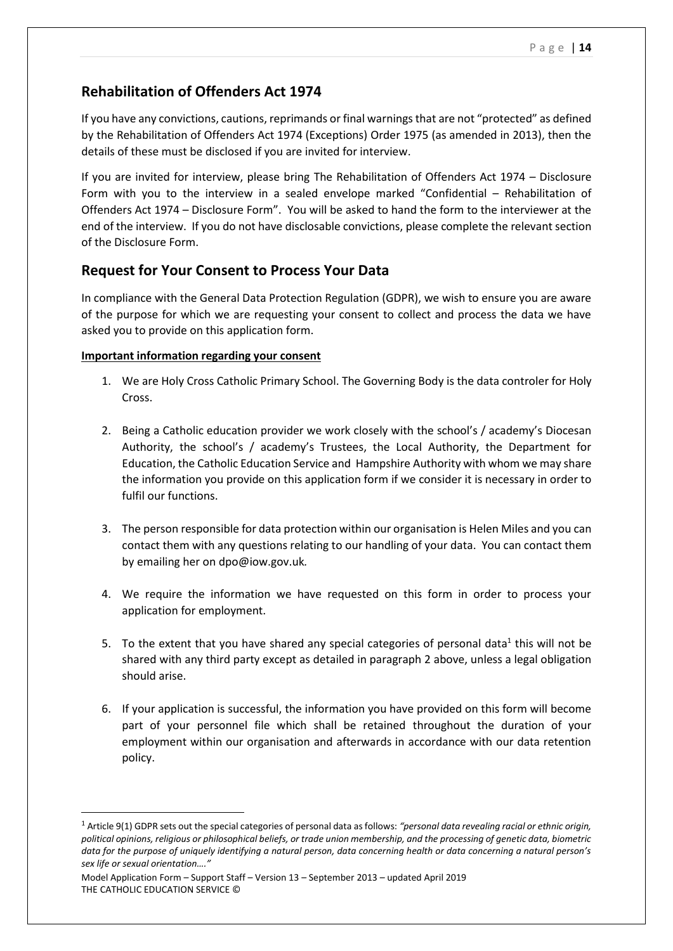# **Rehabilitation of Offenders Act 1974**

If you have any convictions, cautions, reprimands or final warnings that are not "protected" as defined by the Rehabilitation of Offenders Act 1974 (Exceptions) Order 1975 (as amended in 2013), then the details of these must be disclosed if you are invited for interview.

If you are invited for interview, please bring The Rehabilitation of Offenders Act 1974 – Disclosure Form with you to the interview in a sealed envelope marked "Confidential – Rehabilitation of Offenders Act 1974 – Disclosure Form". You will be asked to hand the form to the interviewer at the end of the interview. If you do not have disclosable convictions, please complete the relevant section of the Disclosure Form.

## **Request for Your Consent to Process Your Data**

In compliance with the General Data Protection Regulation (GDPR), we wish to ensure you are aware of the purpose for which we are requesting your consent to collect and process the data we have asked you to provide on this application form.

#### **Important information regarding your consent**

- 1. We are Holy Cross Catholic Primary School. The Governing Body is the data controler for Holy Cross.
- 2. Being a Catholic education provider we work closely with the school's / academy's Diocesan Authority, the school's / academy's Trustees, the Local Authority, the Department for Education, the Catholic Education Service and Hampshire Authority with whom we may share the information you provide on this application form if we consider it is necessary in order to fulfil our functions.
- 3. The person responsible for data protection within our organisation is Helen Miles and you can contact them with any questions relating to our handling of your data. You can contact them by emailing her on dpo@iow.gov.uk*.*
- 4. We require the information we have requested on this form in order to process your application for employment.
- 5. To the extent that you have shared any special categories of personal data<sup>1</sup> this will not be shared with any third party except as detailed in paragraph 2 above, unless a legal obligation should arise.
- 6. If your application is successful, the information you have provided on this form will become part of your personnel file which shall be retained throughout the duration of your employment within our organisation and afterwards in accordance with our data retention policy.

**.** 

<sup>1</sup> Article 9(1) GDPR sets out the special categories of personal data as follows: *"personal data revealing racial or ethnic origin, political opinions, religious or philosophical beliefs, or trade union membership, and the processing of genetic data, biometric data for the purpose of uniquely identifying a natural person, data concerning health or data concerning a natural person's sex life or sexual orientation…."*

Model Application Form – Support Staff – Version 13 – September 2013 – updated April 2019 THE CATHOLIC EDUCATION SERVICE ©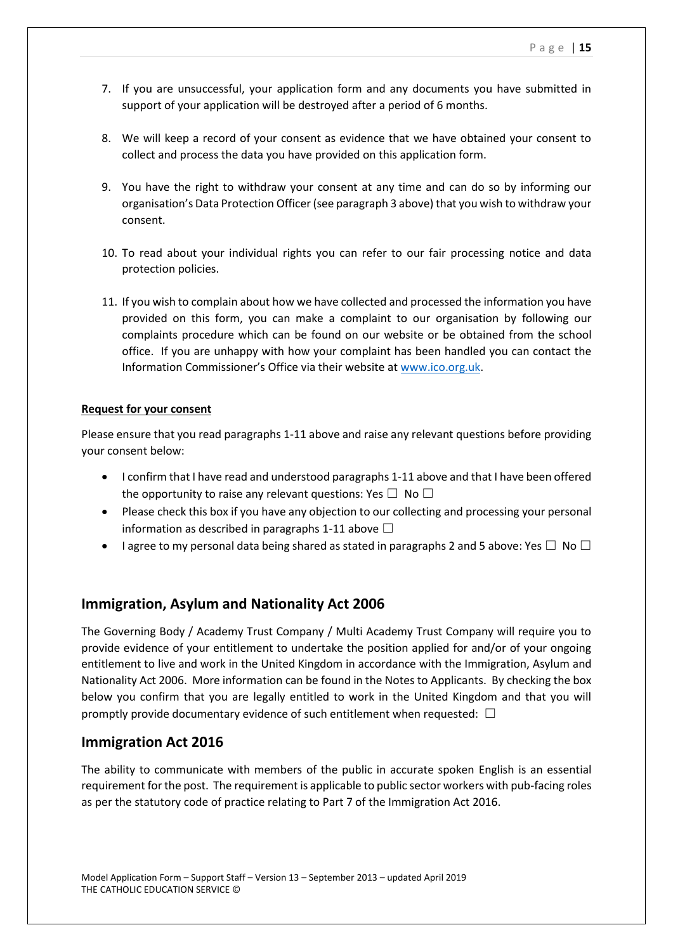- 7. If you are unsuccessful, your application form and any documents you have submitted in support of your application will be destroyed after a period of 6 months.
- 8. We will keep a record of your consent as evidence that we have obtained your consent to collect and process the data you have provided on this application form.
- 9. You have the right to withdraw your consent at any time and can do so by informing our organisation's Data Protection Officer (see paragraph 3 above) that you wish to withdraw your consent.
- 10. To read about your individual rights you can refer to our fair processing notice and data protection policies.
- 11. If you wish to complain about how we have collected and processed the information you have provided on this form, you can make a complaint to our organisation by following our complaints procedure which can be found on our website or be obtained from the school office. If you are unhappy with how your complaint has been handled you can contact the Information Commissioner's Office via their website at [www.ico.org.uk.](http://www.ico.org.uk/)

#### **Request for your consent**

Please ensure that you read paragraphs 1-11 above and raise any relevant questions before providing your consent below:

- I confirm that I have read and understood paragraphs 1-11 above and that I have been offered the opportunity to raise any relevant questions: Yes  $\square$  No  $\square$
- Please check this box if you have any objection to our collecting and processing your personal information as described in paragraphs 1-11 above  $\Box$
- I agree to my personal data being shared as stated in paragraphs 2 and 5 above: Yes  $\Box$  No  $\Box$

### **Immigration, Asylum and Nationality Act 2006**

The Governing Body / Academy Trust Company / Multi Academy Trust Company will require you to provide evidence of your entitlement to undertake the position applied for and/or of your ongoing entitlement to live and work in the United Kingdom in accordance with the Immigration, Asylum and Nationality Act 2006. More information can be found in the Notes to Applicants. By checking the box below you confirm that you are legally entitled to work in the United Kingdom and that you will promptly provide documentary evidence of such entitlement when requested:  $\Box$ 

#### **Immigration Act 2016**

The ability to communicate with members of the public in accurate spoken English is an essential requirement for the post. The requirement is applicable to public sector workers with pub-facing roles as per the statutory code of practice relating to Part 7 of the Immigration Act 2016.